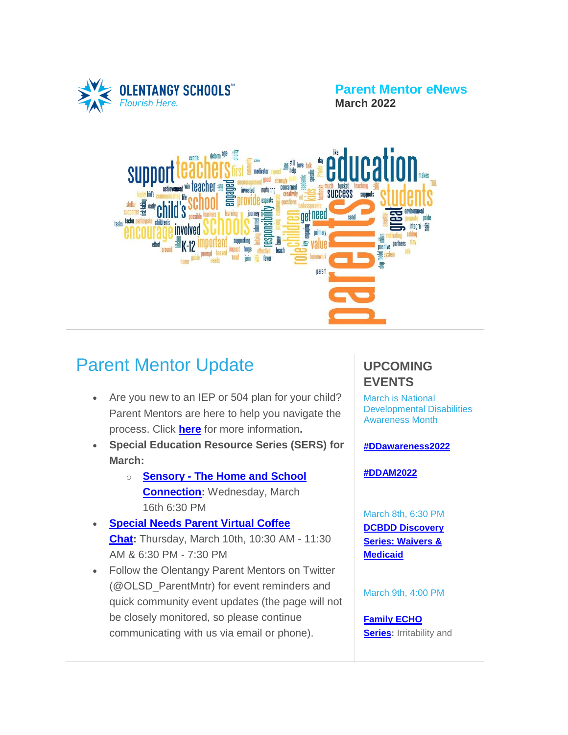

**Parent Mentor eNews March 2022**



# Parent Mentor Update

- Are you new to an IEP or 504 plan for your child? Parent Mentors are here to help you navigate the process. Click **[here](https://www.olentangy.k12.oh.us/departments/pupil-services/parent-mentor-program)** for more information**.**
- **Special Education Resource Series (SERS) for March:**
	- o **[Sensory](https://target.brightarrow.com/userfiles/3594-1/files/Invitation%20Flyer(2).pdf) - The Home and School [Connection:](https://target.brightarrow.com/userfiles/3594-1/files/Invitation%20Flyer(2).pdf)** Wednesday, March 16th 6:30 PM
- **[Special](https://target.brightarrow.com/userfiles/3594-1/files/Virtual%20Coffee%20Chat%20Invite%20March%202022_docx.pdf) Needs Parent Virtual Coffee [Chat:](https://target.brightarrow.com/userfiles/3594-1/files/Virtual%20Coffee%20Chat%20Invite%20March%202022_docx.pdf)** Thursday, March 10th, 10:30 AM - 11:30 AM & 6:30 PM - 7:30 PM
- Follow the Olentangy Parent Mentors on Twitter (@OLSD\_ParentMntr) for event reminders and quick community event updates (the page will not be closely monitored, so please continue communicating with us via email or phone).

#### **UPCOMING EVENTS**

March is National Developmental Disabilities Awareness Month

**[#DDawareness2022](https://www.youtube.com/watch?reload=9&app=desktop&v=WqAbectEZuY)**

**[#DDAM2022](https://www.nacdd.org/ddam1/)**

March 8th, 6:30 PM **DCBDD [Discovery](https://target.brightarrow.com/userfiles/3594-1/files/March%20Discovery%20Series%202021-22%20Monthly%20Flyer.pdf) Series: [Waivers](https://target.brightarrow.com/userfiles/3594-1/files/March%20Discovery%20Series%202021-22%20Monthly%20Flyer.pdf) & [Medicaid](https://target.brightarrow.com/userfiles/3594-1/files/March%20Discovery%20Series%202021-22%20Monthly%20Flyer.pdf)**

March 9th, 4:00 PM

**[Family](https://www.nationwidechildrens.org/for-medical-professionals/education-and-training/echo/series/family) ECHO [Series:](https://www.nationwidechildrens.org/for-medical-professionals/education-and-training/echo/series/family)** Irritability and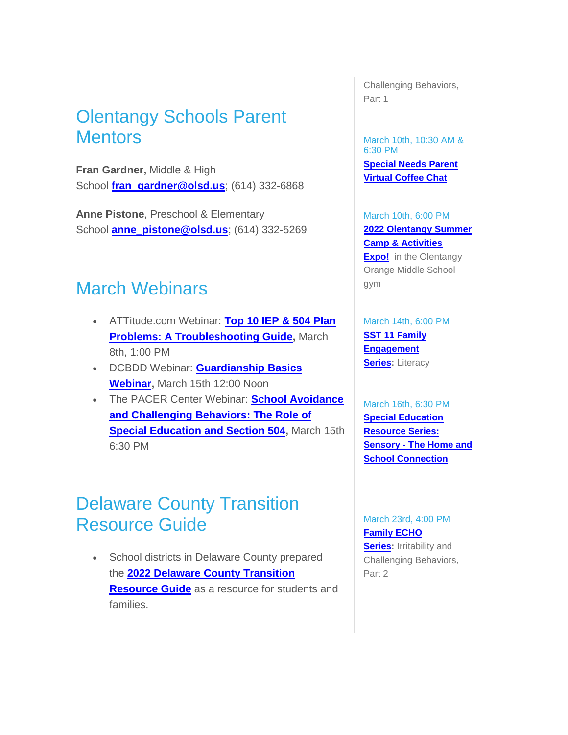## Olentangy Schools Parent **Mentors**

**Fran Gardner,** Middle & High School **[fran\\_gardner@olsd.us](mailto:fran_gardner@olsd.us)**; (614) 332-6868

**Anne Pistone**, Preschool & Elementary School **[anne\\_pistone@olsd.us](mailto:anne_pistone@olsd.us)**; (614) 332-5269

### March Webinars

- ATTitude.com Webinar: **Top 10 IEP & 504 [Plan](https://www.additudemag.com/webinar/iep-504-plan-top-problems-solutions/?utm_source=eletter&utm_medium=email&utm_campaign=webinar_february_2022&utm_content=020622&goal=0_d9446392d6-37d2d92736-290960289) Problems: A [Troubleshooting](https://www.additudemag.com/webinar/iep-504-plan-top-problems-solutions/?utm_source=eletter&utm_medium=email&utm_campaign=webinar_february_2022&utm_content=020622&goal=0_d9446392d6-37d2d92736-290960289) Guide,** March 8th, 1:00 PM
- DCBDD Webinar: **[Guardianship](https://www.dcbdd.org/wp-content/uploads/2022/02/Guardianship-Basics-webinar.pdf) Basics [Webinar,](https://www.dcbdd.org/wp-content/uploads/2022/02/Guardianship-Basics-webinar.pdf)** March 15th 12:00 Noon
- The PACER Center Webinar: **School [Avoidance](https://register.gotowebinar.com/register/4496894126594403344) and [Challenging](https://register.gotowebinar.com/register/4496894126594403344) Behaviors: The Role of Special [Education](https://register.gotowebinar.com/register/4496894126594403344) and Section 504,** March 15th 6:30 PM

### Delaware County Transition Resource Guide

• School districts in Delaware County prepared the **2022 Delaware County [Transition](https://drive.google.com/file/d/12D8q8y2smC1pW1WYIHZOf5FICLaDIuxr/view) [Resource](https://drive.google.com/file/d/12D8q8y2smC1pW1WYIHZOf5FICLaDIuxr/view) Guide** as a resource for students and families.

Challenging Behaviors, Part 1

March 10th, 10:30 AM & 6:30 PM **[Special](https://target.brightarrow.com/userfiles/3594-1/files/Virtual%20Coffee%20Chat%20Invite%20March%202022_docx.pdf) Needs Parent Virtual [Coffee](https://target.brightarrow.com/userfiles/3594-1/files/Virtual%20Coffee%20Chat%20Invite%20March%202022_docx.pdf) Chat**

March 10th, 6:00 PM **2022 [Olentangy](https://www.facebook.com/groups/oomssummerexpo/) Summer Camp & [Activities](https://www.facebook.com/groups/oomssummerexpo/) Expo!** in the Olentangy Orange Middle School gym

March 14th, 6:00 PM **SST 11 [Family](https://target.brightarrow.com/userfiles/3594-1/files/FamilyParent%20Engagement%20Series%2021-22.pdf) [Engagement](https://target.brightarrow.com/userfiles/3594-1/files/FamilyParent%20Engagement%20Series%2021-22.pdf) [Series:](https://target.brightarrow.com/userfiles/3594-1/files/FamilyParent%20Engagement%20Series%2021-22.pdf)** Literacy

March 16th, 6:30 PM **Special [Education](https://target.brightarrow.com/userfiles/3594-1/files/Invitation%20Flyer(2).pdf) [Resource](https://target.brightarrow.com/userfiles/3594-1/files/Invitation%20Flyer(2).pdf) Series: [Sensory](https://target.brightarrow.com/userfiles/3594-1/files/Invitation%20Flyer(2).pdf) - The Home and School [Connection](https://target.brightarrow.com/userfiles/3594-1/files/Invitation%20Flyer(2).pdf)**

March 23rd, 4:00 PM **[Family](https://www.nationwidechildrens.org/for-medical-professionals/education-and-training/echo/series/family) ECHO [Series:](https://www.nationwidechildrens.org/for-medical-professionals/education-and-training/echo/series/family)** Irritability and Challenging Behaviors,

Part 2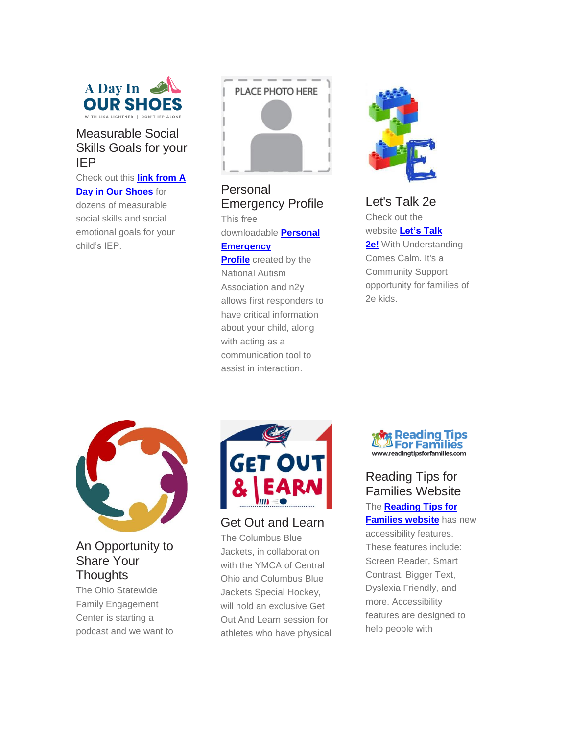

#### Measurable Social Skills Goals for your IEP

Check out this **link [from](https://adayinourshoes.com/social-skills-iep-goals/?utm_campaign=meetedgar&utm_medium=social&utm_source=meetedgar.com) A**

**Day in Our [Shoes](https://adayinourshoes.com/social-skills-iep-goals/?utm_campaign=meetedgar&utm_medium=social&utm_source=meetedgar.com)** for dozens of measurable social skills and social emotional goals for your child's IEP.



Personal Emergency Profile

This free downloadable **[Personal](http://nationalautismassociation.org/personal-emergency-profile-sheet/?fbclid=IwAR26Rt2OnLXJEFro578MSkToZ9vleIKx_tL4YSMoVooMCmMcRuOAHXgKrWc) [Emergency](http://nationalautismassociation.org/personal-emergency-profile-sheet/?fbclid=IwAR26Rt2OnLXJEFro578MSkToZ9vleIKx_tL4YSMoVooMCmMcRuOAHXgKrWc)**

**[Profile](http://nationalautismassociation.org/personal-emergency-profile-sheet/?fbclid=IwAR26Rt2OnLXJEFro578MSkToZ9vleIKx_tL4YSMoVooMCmMcRuOAHXgKrWc)** created by the National Autism Association and n2y allows first responders to have critical information about your child, along with acting as a communication tool to assist in interaction.



Let's Talk 2e Check out the website **[Let's](https://www.withunderstandingcomescalm.com/lets-talk-2e-2/) Talk [2e!](https://www.withunderstandingcomescalm.com/lets-talk-2e-2/)** With Understanding Comes Calm. It's a Community Support opportunity for families of 2e kids.



#### An Opportunity to Share Your **Thoughts**

The Ohio Statewide Family Engagement Center is starting a podcast and we want to



Get Out and Learn

The Columbus Blue Jackets, in collaboration with the YMCA of Central Ohio and Columbus Blue Jackets Special Hockey, will hold an exclusive Get Out And Learn session for athletes who have physical



Reading Tips for Families Website The **[Reading](http://www.readingtipsforfamilies.com/) Tips for [Families](http://www.readingtipsforfamilies.com/) website** has new accessibility features. These features include: Screen Reader, Smart Contrast, Bigger Text, Dyslexia Friendly, and more. Accessibility features are designed to help people with